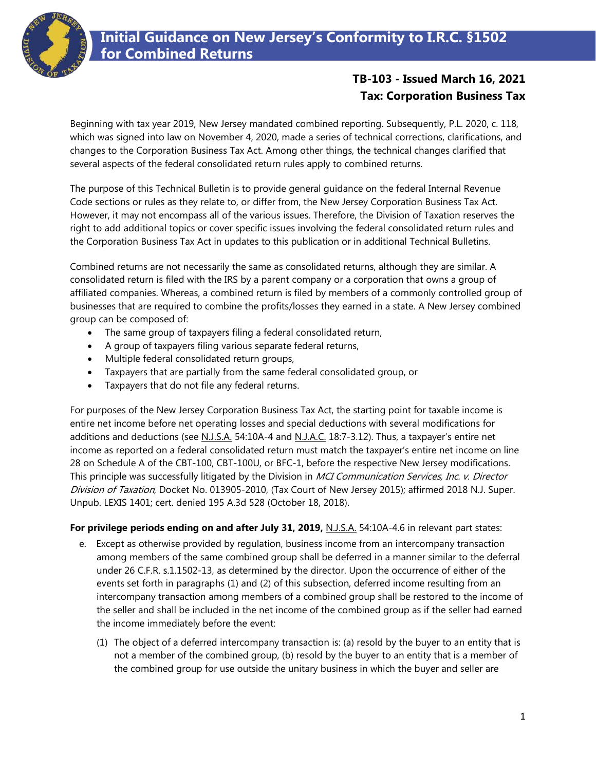

## **TB-103 - Issued March 16, 2021 Tax: Corporation Business Tax**

Beginning with tax year 2019, New Jersey mandated combined reporting. Subsequently, P.L. 2020, c. 118, which was signed into law on November 4, 2020, made a series of technical corrections, clarifications, and changes to the Corporation Business Tax Act. Among other things, the technical changes clarified that several aspects of the federal consolidated return rules apply to combined returns.

The purpose of this Technical Bulletin is to provide general guidance on the federal Internal Revenue Code sections or rules as they relate to, or differ from, the New Jersey Corporation Business Tax Act. However, it may not encompass all of the various issues. Therefore, the Division of Taxation reserves the right to add additional topics or cover specific issues involving the federal consolidated return rules and the Corporation Business Tax Act in updates to this publication or in additional Technical Bulletins.

Combined returns are not necessarily the same as consolidated returns, although they are similar. A consolidated return is filed with the IRS by a parent company or a corporation that owns a group of affiliated companies. Whereas, a combined return is filed by members of a commonly controlled group of businesses that are required to combine the profits/losses they earned in a state. A New Jersey combined group can be composed of:

- The same group of taxpayers filing a federal consolidated return,
- A group of taxpayers filing various separate federal returns,
- Multiple federal consolidated return groups,
- Taxpayers that are partially from the same federal consolidated group, or
- Taxpayers that do not file any federal returns.

For purposes of the New Jersey Corporation Business Tax Act, the starting point for taxable income is entire net income before net operating losses and special deductions with several modifications for additions and deductions (see N.J.S.A. 54:10A-4 and N.J.A.C. 18:7-3.12). Thus, a taxpayer's entire net income as reported on a federal consolidated return must match the taxpayer's entire net income on line 28 on Schedule A of the CBT-100, CBT-100U, or BFC-1, before the respective New Jersey modifications. This principle was successfully litigated by the Division in MCI Communication Services, Inc. v. Director Division of Taxation, Docket No. 013905-2010, (Tax Court of New Jersey 2015); affirmed 2018 N.J. Super. Unpub. LEXIS 1401; cert. denied 195 A.3d 528 (October 18, 2018).

## **For privilege periods ending on and after July 31, 2019,** N.J.S.A. 54:10A-4.6 in relevant part states:

- e. Except as otherwise provided by regulation, business income from an intercompany transaction among members of the same combined group shall be deferred in a manner similar to the deferral under 26 C.F.R. s.1.1502-13, as determined by the director. Upon the occurrence of either of the events set forth in paragraphs (1) and (2) of this subsection, deferred income resulting from an intercompany transaction among members of a combined group shall be restored to the income of the seller and shall be included in the net income of the combined group as if the seller had earned the income immediately before the event:
	- (1) The object of a deferred intercompany transaction is: (a) resold by the buyer to an entity that is not a member of the combined group, (b) resold by the buyer to an entity that is a member of the combined group for use outside the unitary business in which the buyer and seller are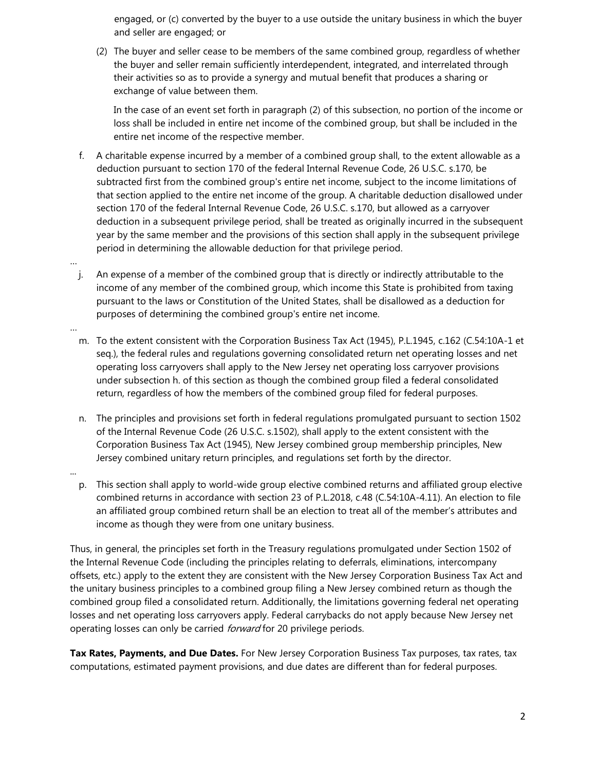engaged, or (c) converted by the buyer to a use outside the unitary business in which the buyer and seller are engaged; or

(2) The buyer and seller cease to be members of the same combined group, regardless of whether the buyer and seller remain sufficiently interdependent, integrated, and interrelated through their activities so as to provide a synergy and mutual benefit that produces a sharing or exchange of value between them.

In the case of an event set forth in paragraph (2) of this subsection, no portion of the income or loss shall be included in entire net income of the combined group, but shall be included in the entire net income of the respective member.

- f. A charitable expense incurred by a member of a combined group shall, to the extent allowable as a deduction pursuant to section 170 of the federal Internal Revenue Code, 26 U.S.C. s.170, be subtracted first from the combined group's entire net income, subject to the income limitations of that section applied to the entire net income of the group. A charitable deduction disallowed under section 170 of the federal Internal Revenue Code, 26 U.S.C. s.170, but allowed as a carryover deduction in a subsequent privilege period, shall be treated as originally incurred in the subsequent year by the same member and the provisions of this section shall apply in the subsequent privilege period in determining the allowable deduction for that privilege period.
- … j. An expense of a member of the combined group that is directly or indirectly attributable to the income of any member of the combined group, which income this State is prohibited from taxing pursuant to the laws or Constitution of the United States, shall be disallowed as a deduction for purposes of determining the combined group's entire net income.
- … m. To the extent consistent with the Corporation Business Tax Act (1945), P.L.1945, c.162 (C.54:10A-1 et seq.), the federal rules and regulations governing consolidated return net operating losses and net operating loss carryovers shall apply to the New Jersey net operating loss carryover provisions under subsection h. of this section as though the combined group filed a federal consolidated return, regardless of how the members of the combined group filed for federal purposes.
	- n. The principles and provisions set forth in federal regulations promulgated pursuant to section 1502 of the Internal Revenue Code (26 U.S.C. s.1502), shall apply to the extent consistent with the Corporation Business Tax Act (1945), New Jersey combined group membership principles, New Jersey combined unitary return principles, and regulations set forth by the director.
	- p. This section shall apply to world-wide group elective combined returns and affiliated group elective combined returns in accordance with section 23 of P.L.2018, c.48 (C.54:10A-4.11). An election to file an affiliated group combined return shall be an election to treat all of the member's attributes and income as though they were from one unitary business.

...

Thus, in general, the principles set forth in the Treasury regulations promulgated under Section 1502 of the Internal Revenue Code (including the principles relating to deferrals, eliminations, intercompany offsets, etc.) apply to the extent they are consistent with the New Jersey Corporation Business Tax Act and the unitary business principles to a combined group filing a New Jersey combined return as though the combined group filed a consolidated return. Additionally, the limitations governing federal net operating losses and net operating loss carryovers apply. Federal carrybacks do not apply because New Jersey net operating losses can only be carried *forward* for 20 privilege periods.

**Tax Rates, Payments, and Due Dates.** For New Jersey Corporation Business Tax purposes, tax rates, tax computations, estimated payment provisions, and due dates are different than for federal purposes.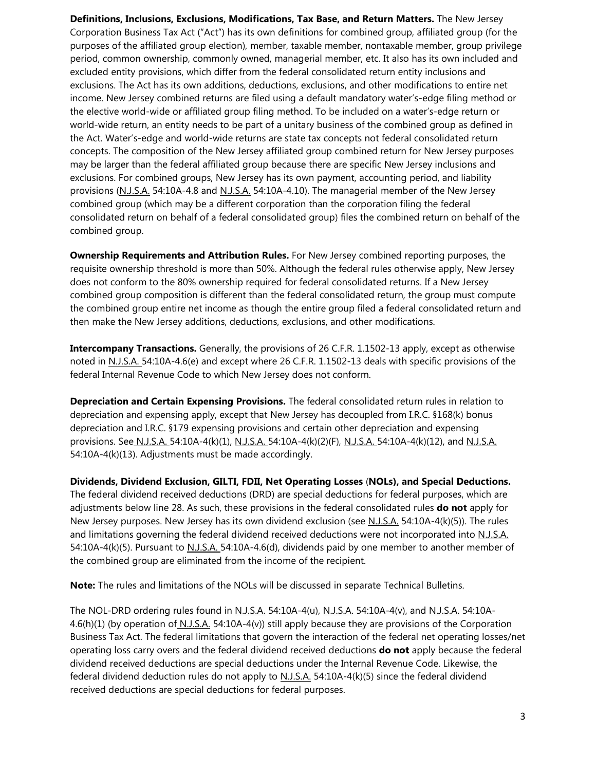**Definitions, Inclusions, Exclusions, Modifications, Tax Base, and Return Matters.** The New Jersey Corporation Business Tax Act ("Act") has its own definitions for combined group, affiliated group (for the purposes of the affiliated group election), member, taxable member, nontaxable member, group privilege period, common ownership, commonly owned, managerial member, etc. It also has its own included and excluded entity provisions, which differ from the federal consolidated return entity inclusions and exclusions. The Act has its own additions, deductions, exclusions, and other modifications to entire net income. New Jersey combined returns are filed using a default mandatory water's-edge filing method or the elective world-wide or affiliated group filing method. To be included on a water's-edge return or world-wide return, an entity needs to be part of a unitary business of the combined group as defined in the Act. Water's-edge and world-wide returns are state tax concepts not federal consolidated return concepts. The composition of the New Jersey affiliated group combined return for New Jersey purposes may be larger than the federal affiliated group because there are specific New Jersey inclusions and exclusions. For combined groups, New Jersey has its own payment, accounting period, and liability provisions (N.J.S.A. 54:10A-4.8 and N.J.S.A. 54:10A-4.10). The managerial member of the New Jersey combined group (which may be a different corporation than the corporation filing the federal consolidated return on behalf of a federal consolidated group) files the combined return on behalf of the combined group.

**Ownership Requirements and Attribution Rules.** For New Jersey combined reporting purposes, the requisite ownership threshold is more than 50%. Although the federal rules otherwise apply, New Jersey does not conform to the 80% ownership required for federal consolidated returns. If a New Jersey combined group composition is different than the federal consolidated return, the group must compute the combined group entire net income as though the entire group filed a federal consolidated return and then make the New Jersey additions, deductions, exclusions, and other modifications.

**Intercompany Transactions.** Generally, the provisions of 26 C.F.R. 1.1502-13 apply, except as otherwise noted in N.J.S.A. 54:10A-4.6(e) and except where 26 C.F.R. 1.1502-13 deals with specific provisions of the federal Internal Revenue Code to which New Jersey does not conform.

**Depreciation and Certain Expensing Provisions.** The federal consolidated return rules in relation to depreciation and expensing apply, except that New Jersey has decoupled from I.R.C. §168(k) bonus depreciation and I.R.C. §179 expensing provisions and certain other depreciation and expensing provisions. See N.J.S.A. 54:10A-4(k)(1), N.J.S.A. 54:10A-4(k)(2)(F), N.J.S.A. 54:10A-4(k)(12), and N.J.S.A. 54:10A-4(k)(13). Adjustments must be made accordingly.

**Dividends, Dividend Exclusion, GILTI, FDII, Net Operating Losses** (**NOLs), and Special Deductions.** The federal dividend received deductions (DRD) are special deductions for federal purposes, which are adjustments below line 28. As such, these provisions in the federal consolidated rules **do not** apply for New Jersey purposes. New Jersey has its own dividend exclusion (see N.J.S.A. 54:10A-4(k)(5)). The rules and limitations governing the federal dividend received deductions were not incorporated into N.J.S.A. 54:10A-4(k)(5). Pursuant to N.J.S.A. 54:10A-4.6(d), dividends paid by one member to another member of the combined group are eliminated from the income of the recipient.

**Note:** The rules and limitations of the NOLs will be discussed in separate Technical Bulletins.

The NOL-DRD ordering rules found in N.J.S.A. 54:10A-4(u), N.J.S.A. 54:10A-4(v), and N.J.S.A. 54:10A-4.6(h)(1) (by operation of N.J.S.A. 54:10A-4(v)) still apply because they are provisions of the Corporation Business Tax Act. The federal limitations that govern the interaction of the federal net operating losses/net operating loss carry overs and the federal dividend received deductions **do not** apply because the federal dividend received deductions are special deductions under the Internal Revenue Code. Likewise, the federal dividend deduction rules do not apply to N.J.S.A. 54:10A-4(k)(5) since the federal dividend received deductions are special deductions for federal purposes.